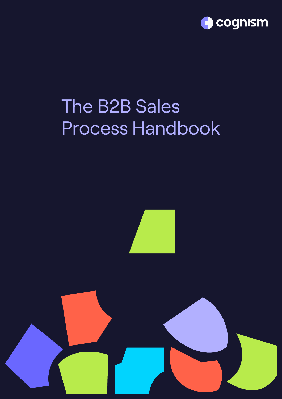

## The B2B Sales Process Handbook



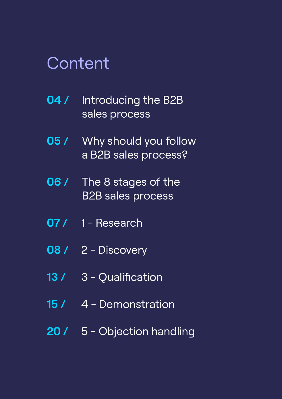### Content

| 04 / Introducing the B2B |  |
|--------------------------|--|
| sales process            |  |

- **05 /** [Why should you follow](#page-4-0)  a B2B sales process?
- **06 /** [The 8 stages of the](#page-5-0)  B2B sales process
- **07 / 1 Research**
- **08 /** [2 Discovery](#page-7-0)
- **13 /** [3 Qualification](#page-12-0)
- 15 / [4 Demonstration](#page-14-0)
- **20 /** [5 Objection handling](#page-19-0)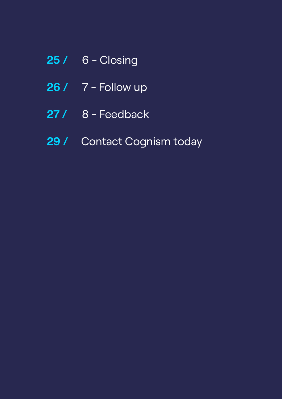- **25 /** [6 Closing](#page-24-0)
- **26 /** [7 Follow up](#page-25-0)
- **27 /** [8 Feedback](#page-26-0)
- **29 /** [Contact Cognism today](#page-28-0)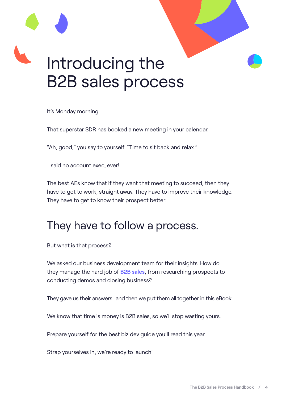# <span id="page-3-0"></span>Introducing the B2B sales process

It's Monday morning.

That superstar SDR has booked a new meeting in your calendar.

"Ah, good," you say to yourself. "Time to sit back and relax."

...said no account exec, ever!

The best AEs know that if they want that meeting to succeed, then they have to get to work, straight away. They have to improve their knowledge. They have to get to know their prospect better.

#### They have to follow a process.

But what **is** that process?

We asked our business development team for their insights. How do they manage the hard job of **[B2B sales](https://www.cognism.com/what-is-b2b-sales)**, from researching prospects to conducting demos and closing business?

They gave us their answers...and then we put them all together in this eBook.

We know that time is money is B2B sales, so we'll stop wasting yours.

Prepare yourself for the best biz dev quide you'll read this year.

Strap yourselves in, we're ready to launch!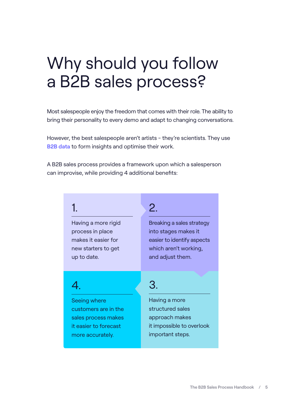### <span id="page-4-0"></span>Why should you follow a B2B sales process?

Most salespeople enjoy the freedom that comes with their role. The ability to bring their personality to every demo and adapt to changing conversations.

However, the best salespeople aren't artists - they're scientists. They use **[B2B data](https://www.cognism.com/b2b-data)** to form insights and optimise their work.

A B2B sales process provides a framework upon which a salesperson can improvise, while providing 4 additional benefits:

#### 1.

Having a more rigid process in place makes it easier for new starters to get up to date.

#### 2.

Breaking a sales strategy into stages makes it easier to identify aspects which aren't working, and adjust them.

#### 4.

Seeing where customers are in the sales process makes it easier to forecast more accurately.

#### 3.

Having a more structured sales approach makes it impossible to overlook important steps.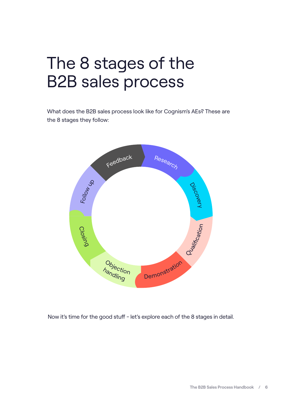### <span id="page-5-0"></span>The 8 stages of the B2B sales process

What does the B2B sales process look like for Cognism's AEs? These are the 8 stages they follow:



Now it's time for the good stuff - let's explore each of the 8 stages in detail.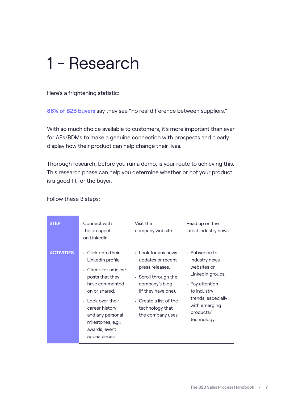### <span id="page-6-0"></span>1 - Research

Here's a frightening statistic:

**[86% of B2B buyers](https://webbiquity.com/social-media-marketing/33-thought-provoking-b2b-social-media-and-marketing-stats/)** say they see "no real difference between suppliers."

With so much choice available to customers, it's more important than ever for AEs/BDMs to make a genuine connection with prospects and clearly display how their product can help change their lives.

Thorough research, before you run a demo, is your route to achieving this. This research phase can help you determine whether or not your product is a good fit for the buyer.

Follow these 3 steps:

| <b>STEP</b>       | Connect with<br>the prospect<br>on LinkedIn                                                                                                                                                                                                         | Visit the<br>company website                                                                                                                                                                               | Read up on the<br>latest industry news                                                                                                                                        |
|-------------------|-----------------------------------------------------------------------------------------------------------------------------------------------------------------------------------------------------------------------------------------------------|------------------------------------------------------------------------------------------------------------------------------------------------------------------------------------------------------------|-------------------------------------------------------------------------------------------------------------------------------------------------------------------------------|
| <b>ACTIVITIES</b> | • Click onto their<br>LinkedIn profile.<br>$\cdot$ Check for articles/<br>posts that they<br>have commented<br>on or shared.<br>$\cdot$ Look over their<br>career history<br>and any personal<br>milestones, e.g.:<br>awards, event<br>appearances. | • Look for any news<br>updates or recent<br>press releases.<br>$\cdot$ Scroll through the<br>company's blog<br>(if they have one).<br>$\cdot$ Create a list of the<br>technology that<br>the company uses. | $\cdot$ Subscribe to<br>industry news<br>websites or<br>LinkedIn groups.<br>• Pay attention<br>to industry<br>trends, especially<br>with emerging<br>products/<br>technology. |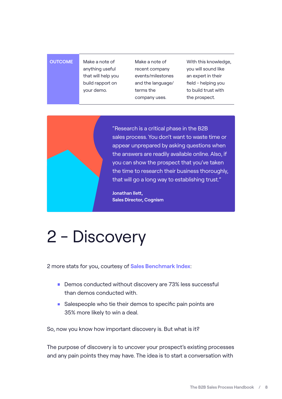#### <span id="page-7-0"></span>**OUTCOME** Make a note of

anything useful that will help you build rapport on your demo.

Make a note of recent company events/milestones and the language/ terms the company uses.

With this knowledge, you will sound like an expert in their field - helping you to build trust with the prospect.



"Research is a critical phase in the B2B sales process. You don't want to waste time or appear unprepared by asking questions when the answers are readily available online. Also, if you can show the prospect that you've taken the time to research their business thoroughly, that will go a long way to establishing trust."

**Jonathan Ilett, Sales Director, Cognism**

### 2 - Discovery

2 more stats for you, courtesy of **[Sales Benchmark Index](https://salesbenchmarkindex.com/insights/three-sales-demo-disasters-and-how-to-avoid-them/)**:

- Demos conducted without discovery are 73% less successful than demos conducted with.
- Salespeople who tie their demos to specific pain points are 35% more likely to win a deal.

So, now you know how important discovery is. But what is it?

The purpose of discovery is to uncover your prospect's existing processes and any pain points they may have. The idea is to start a conversation with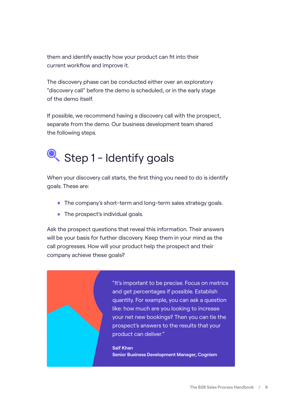them and identify exactly how your product can fit into their current workflow and improve it.

The discovery phase can be conducted either over an exploratory "discovery call" before the demo is scheduled, or in the early stage of the demo itself.

If possible, we recommend having a discovery call with the prospect, separate from the demo. Our business development team shared the following steps.

### Step 1 - Identify goals

When your discovery call starts, the first thing you need to do is identify goals. These are:

- **The company's short-term and long-term sales strategy goals.**
- The prospect's individual goals.

Ask the prospect questions that reveal this information. Their answers will be your basis for further discovery. Keep them in your mind as the call progresses. How will your product help the prospect and their company achieve these goals?

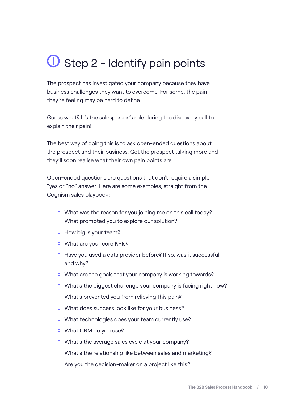### $\bigcup$  Step 2 - Identify pain points

The prospect has investigated your company because they have business challenges they want to overcome. For some, the pain they're feeling may be hard to define.

Guess what? It's the salesperson's role during the discovery call to explain their pain!

The best way of doing this is to ask open-ended questions about the prospect and their business. Get the prospect talking more and they'll soon realise what their own pain points are.

Open-ended questions are questions that don't require a simple "yes or "no" answer. Here are some examples, straight from the Cognism sales playbook:

- What was the reason for you joining me on this call today? What prompted you to explore our solution?
- $\Box$  How big is your team?
- What are your core KPIs?
- $\Box$  Have you used a data provider before? If so, was it successful and why?
- What are the goals that your company is working towards?
- What's the biggest challenge your company is facing right now?
- What's prevented you from relieving this pain?
- □ What does success look like for your business?
- □ What technologies does your team currently use?
- What CRM do you use?
- $\Box$  What's the average sales cycle at your company?
- □ What's the relationship like between sales and marketing?
- $\Box$  Are you the decision-maker on a project like this?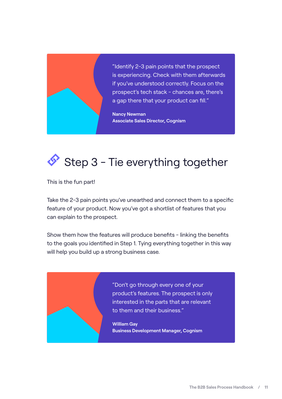

"Identify 2-3 pain points that the prospect is experiencing. Check with them afterwards if you've understood correctly. Focus on the prospect's tech stack - chances are, there's a gap there that your product can fill."

**Nancy Newman Associate Sales Director, Cognism**

### $\bullet$  Step 3 - Tie everything together

This is the fun part!

Take the 2-3 pain points you've unearthed and connect them to a specific feature of your product. Now you've got a shortlist of features that you can explain to the prospect.

Show them how the features will produce benefits - linking the benefits to the goals you identified in Step 1. Tying everything together in this way will help you build up a strong business case.

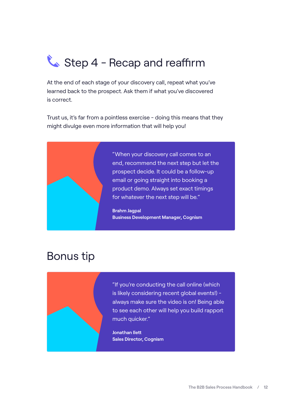### Step 4 - Recap and reaffirm

At the end of each stage of your discovery call, repeat what you've learned back to the prospect. Ask them if what you've discovered is correct.

Trust us, it's far from a pointless exercise - doing this means that they might divulge even more information that will help you!



#### Bonus tip



"If you're conducting the call online (which is likely considering recent global events!) always make sure the video is on! Being able to see each other will help you build rapport much quicker."

**Jonathan Ilett Sales Director, Cognism**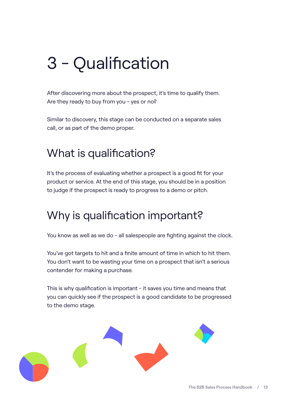### <span id="page-12-0"></span>3 - Qualification

After discovering more about the prospect, it's time to qualify them. Are they ready to buy from you - yes or no?

Similar to discovery, this stage can be conducted on a separate sales call, or as part of the demo proper.

#### What is qualification?

It's the process of evaluating whether a prospect is a good fit for your product or service. At the end of this stage, you should be in a position to judge if the prospect is ready to progress to a demo or pitch.

#### Why is qualification important?

You know as well as we do - all salespeople are fighting against the clock.

You've got targets to hit and a finite amount of time in which to hit them. You don't want to be wasting your time on a prospect that isn't a serious contender for making a purchase.

This is why qualification is important - it saves you time and means that you can quickly see if the prospect is a good candidate to be progressed to the demo stage.

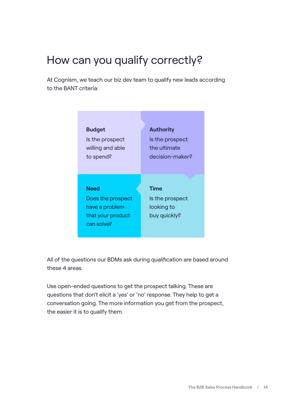#### How can you qualify correctly?

At Cognism, we teach our biz dev team to qualify new leads according to the BANT criteria:

| <b>Budget</b>                                                                         | <b>Authority</b>                                      |
|---------------------------------------------------------------------------------------|-------------------------------------------------------|
| Is the prospect                                                                       | Is the prospect                                       |
| willing and able                                                                      | the ultimate                                          |
| to spend?                                                                             | decision-maker?                                       |
| <b>Need</b><br>Does the prospect<br>have a problem<br>that your product<br>can solve? | Time<br>Is the prospect<br>looking to<br>buy quickly? |

All of the questions our BDMs ask during qualification are based around these 4 areas.

Use open-ended questions to get the prospect talking. These are questions that don't elicit a 'yes' or 'no' response. They help to get a conversation going. The more information you get from the prospect, the easier it is to qualify them.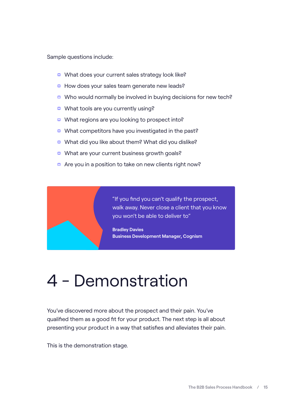<span id="page-14-0"></span>Sample questions include:

- □ What does your current sales strategy look like?
- How does your sales team generate new leads?
- $\Box$  Who would normally be involved in buying decisions for new tech?
- □ What tools are you currently using?
- What regions are you looking to prospect into?
- $\Box$  What competitors have you investigated in the past?
- □ What did you like about them? What did you dislike?
- What are your current business growth goals?
- Are you in a position to take on new clients right now?



### 4 - Demonstration

You've discovered more about the prospect and their pain. You've qualified them as a good fit for your product. The next step is all about presenting your product in a way that satisfies and alleviates their pain.

This is the demonstration stage.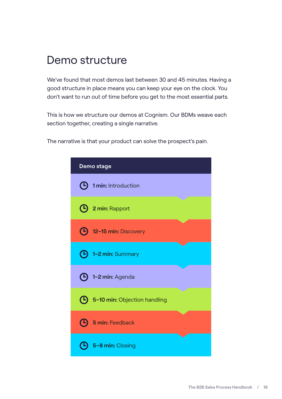#### Demo structure

We've found that most demos last between 30 and 45 minutes. Having a good structure in place means you can keep your eye on the clock. You don't want to run out of time before you get to the most essential parts.

This is how we structure our demos at Cognism. Our BDMs weave each section together, creating a single narrative.

The narrative is that your product can solve the prospect's pain.

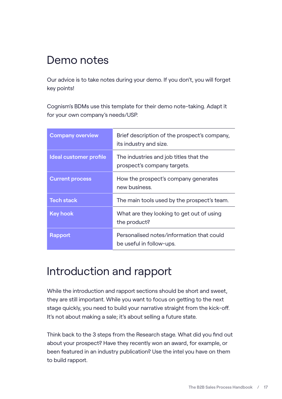#### Demo notes

Our advice is to take notes during your demo. If you don't, you will forget key points!

Cognism's BDMs use this template for their demo note-taking. Adapt it for your own company's needs/USP.

| <b>Company overview</b> | Brief description of the prospect's company,<br>its industry and size. |
|-------------------------|------------------------------------------------------------------------|
| Ideal customer profile  | The industries and job titles that the<br>prospect's company targets.  |
| <b>Current process</b>  | How the prospect's company generates<br>new business.                  |
| <b>Tech stack</b>       | The main tools used by the prospect's team.                            |
| <b>Key hook</b>         | What are they looking to get out of using<br>the product?              |
| <b>Rapport</b>          | Personalised notes/information that could<br>be useful in follow-ups.  |

#### Introduction and rapport

While the introduction and rapport sections should be short and sweet, they are still important. While you want to focus on getting to the next stage quickly, you need to build your narrative straight from the kick-off. It's not about making a sale; it's about selling a future state.

Think back to the 3 steps from the Research stage. What did you find out about your prospect? Have they recently won an award, for example, or been featured in an industry publication? Use the intel you have on them to build rapport.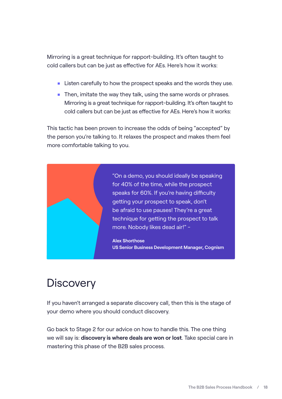Mirroring is a great technique for rapport-building. It's often taught to cold callers but can be just as effective for AEs. Here's how it works:

- **EXTER** Listen carefully to how the prospect speaks and the words they use.
- Then, imitate the way they talk, using the same words or phrases. Mirroring is a great technique for rapport-building. It's often taught to cold callers but can be just as effective for AEs. Here's how it works:

This tactic has been proven to increase the odds of being "accepted" by the person you're talking to. It relaxes the prospect and makes them feel more comfortable talking to you.



#### **Discovery**

If you haven't arranged a separate discovery call, then this is the stage of your demo where you should conduct discovery.

Go back to Stage 2 for our advice on how to handle this. The one thing we will say is: **discovery is where deals are won or lost**. Take special care in mastering this phase of the B2B sales process.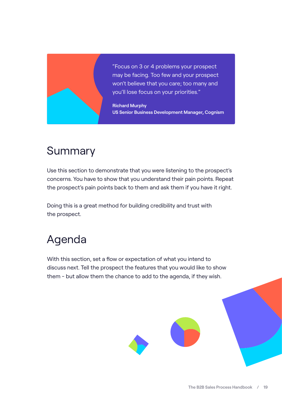

"Focus on 3 or 4 problems your prospect may be facing. Too few and your prospect won't believe that you care; too many and you'll lose focus on your priorities."

**Richard Murphy US Senior Business Development Manager, Cognism**

#### **Summary**

Use this section to demonstrate that you were listening to the prospect's concerns. You have to show that you understand their pain points. Repeat the prospect's pain points back to them and ask them if you have it right.

Doing this is a great method for building credibility and trust with the prospect.

#### Agenda

With this section, set a flow or expectation of what you intend to discuss next. Tell the prospect the features that you would like to show them - but allow them the chance to add to the agenda, if they wish.

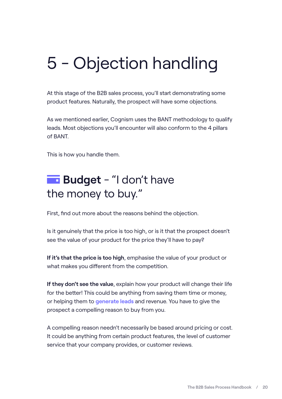### <span id="page-19-0"></span>5 - Objection handling

At this stage of the B2B sales process, you'll start demonstrating some product features. Naturally, the prospect will have some objections.

As we mentioned earlier, Cognism uses the BANT methodology to qualify leads. Most objections you'll encounter will also conform to the 4 pillars of BANT.

This is how you handle them.

#### **Budget** - "I don't have the money to buy."

First, find out more about the reasons behind the objection.

Is it genuinely that the price is too high, or is it that the prospect doesn't see the value of your product for the price they'll have to pay?

**If it's that the price is too high**, emphasise the value of your product or what makes you different from the competition.

**If they don't see the value**, explain how your product will change their life for the better! This could be anything from saving them time or money, or helping them to **[generate leads](https://www.cognism.com/what-is-b2b-lead-generation)** and revenue. You have to give the prospect a compelling reason to buy from you.

A compelling reason needn't necessarily be based around pricing or cost. It could be anything from certain product features, the level of customer service that your company provides, or customer reviews.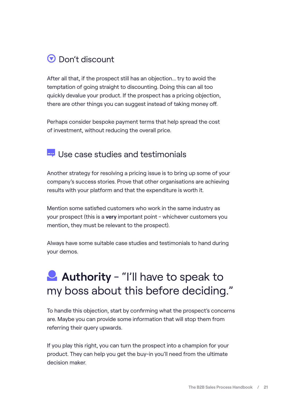#### **D** Don't discount

After all that, if the prospect still has an objection... try to avoid the temptation of going straight to discounting. Doing this can all too quickly devalue your product. If the prospect has a pricing objection, there are other things you can suggest instead of taking money off.

Perhaps consider bespoke payment terms that help spread the cost of investment, without reducing the overall price.

#### $\overline{L}_{\overline{r}}$  Use case studies and testimonials

Another strategy for resolving a pricing issue is to bring up some of your company's success stories. Prove that other organisations are achieving results with your platform and that the expenditure is worth it.

Mention some satisfied customers who work in the same industry as your prospect (this is a **very** important point - whichever customers you mention, they must be relevant to the prospect).

Always have some suitable case studies and testimonials to hand during your demos.

#### **Authority** - "I'll have to speak to my boss about this before deciding."

To handle this objection, start by confirming what the prospect's concerns are. Maybe you can provide some information that will stop them from referring their query upwards.

If you play this right, you can turn the prospect into a champion for your product. They can help you get the buy-in you'll need from the ultimate decision maker.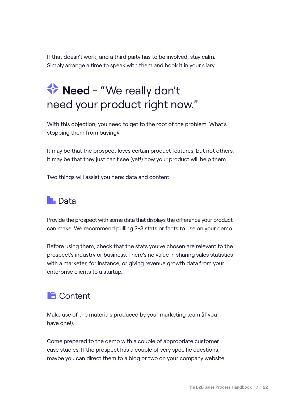If that doesn't work, and a third party has to be involved, stay calm. Simply arrange a time to speak with them and book it in your diary.

#### **Need** - "We really don't need your product right now."

With this objection, you need to get to the root of the problem. What's stopping them from buving?

It may be that the prospect loves certain product features, but not others. It may be that they just can't see (yet!) how your product will help them.

Two things will assist you here: data and content.

#### **In** Data

Provide the prospect with some data that displays the difference your product can make. We recommend pulling 2-3 stats or facts to use on your demo.

Before using them, check that the stats you've chosen are relevant to the prospect's industry or business. There's no value in sharing sales statistics with a marketer, for instance, or giving revenue growth data from your enterprise clients to a startup.

#### **Content**

Make use of the materials produced by your marketing team (if you have one!).

Come prepared to the demo with a couple of appropriate customer case studies. If the prospect has a couple of very specific questions, maybe you can direct them to a blog or two on your company website.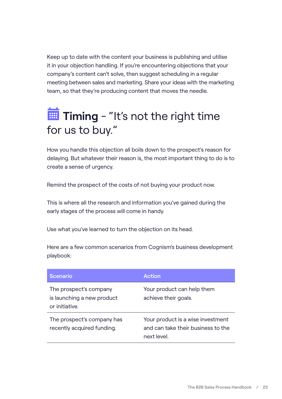Keep up to date with the content your business is publishing and utilise it in your objection handling. If you're encountering objections that your company's content can't solve, then suggest scheduling in a regular meeting between sales and marketing. Share your ideas with the marketing team, so that they're producing content that moves the needle.

#### **Timing** - "It's not the right time for us to buy."

How you handle this objection all boils down to the prospect's reason for delaying. But whatever their reason is, the most important thing to do is to create a sense of urgency.

Remind the prospect of the costs of not buying your product now.

This is where all the research and information you've gained during the early stages of the process will come in handy.

Use what you've learned to turn the objection on its head.

Here are a few common scenarios from Cognism's business development playbook:

| <b>Scenario</b>                                                        | <b>Action</b>                                                                          |
|------------------------------------------------------------------------|----------------------------------------------------------------------------------------|
| The prospect's company<br>is launching a new product<br>or initiative. | Your product can help them<br>achieve their goals.                                     |
| The prospect's company has<br>recently acquired funding.               | Your product is a wise investment<br>and can take their business to the<br>next level. |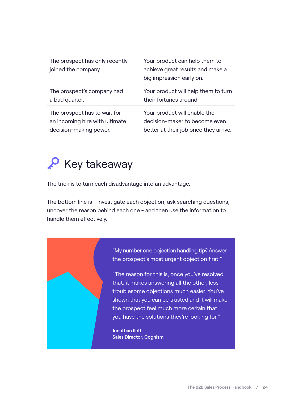| The prospect has only recently<br>joined the company. | Your product can help them to<br>achieve great results and make a<br>big impression early on. |
|-------------------------------------------------------|-----------------------------------------------------------------------------------------------|
| The prospect's company had                            | Your product will help them to turn                                                           |
| a bad quarter.                                        | their fortunes around.                                                                        |
| The prospect has to wait for                          | Your product will enable the                                                                  |
| an incoming hire with ultimate                        | decision-maker to become even                                                                 |
| decision-making power.                                | better at their job once they arrive.                                                         |

#### **P** Key takeaway

The trick is to turn each disadvantage into an advantage.

The bottom line is - investigate each objection, ask searching questions, uncover the reason behind each one - and then use the information to handle them effectively.

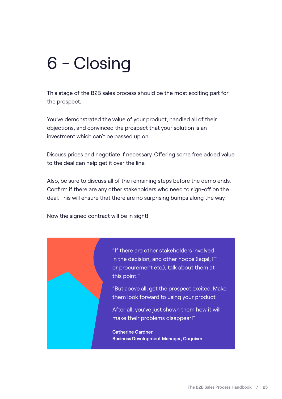### <span id="page-24-0"></span>6 - Closing

This stage of the B2B sales process should be the most exciting part for the prospect.

You've demonstrated the value of your product, handled all of their objections, and convinced the prospect that your solution is an investment which can't be passed up on.

Discuss prices and negotiate if necessary. Offering some free added value to the deal can help get it over the line.

Also, be sure to discuss all of the remaining steps before the demo ends. Confirm if there are any other stakeholders who need to sign-off on the deal. This will ensure that there are no surprising bumps along the way.

Now the signed contract will be in sight!



"If there are other stakeholders involved in the decision, and other hoops (legal, IT or procurement etc.), talk about them at this point."

"But above all, get the prospect excited. Make them look forward to using your product.

After all, you've just shown them how it will make their problems disappear!"

**Catherine Gardner Business Development Manager, Cognism**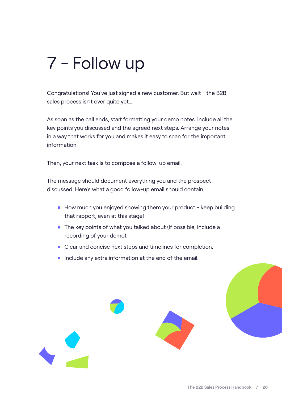### <span id="page-25-0"></span>7 - Follow up

Congratulations! You've just signed a new customer. But wait - the B2B sales process isn't over quite yet…

As soon as the call ends, start formatting your demo notes. Include all the key points you discussed and the agreed next steps. Arrange your notes in a way that works for you and makes it easy to scan for the important information.

Then, your next task is to compose a follow-up email.

The message should document everything you and the prospect discussed. Here's what a good follow-up email should contain:

- $\blacksquare$  How much you enjoyed showing them your product keep building that rapport, even at this stage!
- The key points of what you talked about (if possible, include a recording of your demo).
- Clear and concise next steps and timelines for completion.
- Include any extra information at the end of the email.

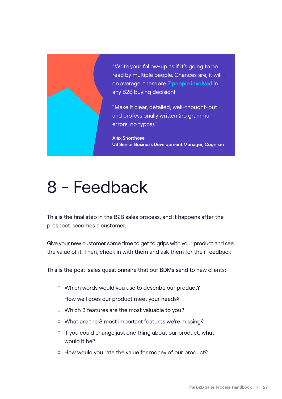<span id="page-26-0"></span>

"Write your follow-up as if it's going to be read by multiple people. Chances are, it will on average, there are **[7 people involved](https://www.themarketingblender.com/statistics-boost-sales/)** in any B2B buying decision!"

"Make it clear, detailed, well-thought-out and professionally written (no grammar errors, no typos)."

**Alex Shorthose US Senior Business Development Manager, Cognism**

### 8 - Feedback

This is the final step in the B2B sales process, and it happens after the prospect becomes a customer.

Give your new customer some time to get to grips with your product and see the value of it. Then, check in with them and ask them for their feedback.

This is the post-sales questionnaire that our BDMs send to new clients:

- □ Which words would you use to describe our product?
- How well does our product meet your needs?
- Which 3 features are the most valuable to you?
- What are the 3 most important features we're missing?
- $\Box$  If you could change just one thing about our product, what would it be?
- $\Box$  How would you rate the value for money of our product?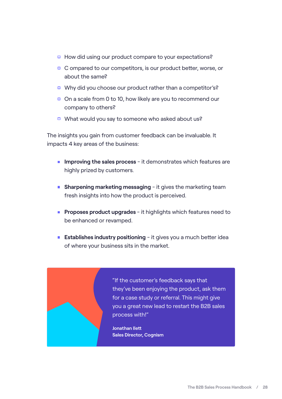- □ How did using our product compare to your expectations?
- $\Box$  C ompared to our competitors, is our product better, worse, or about the same?
- □ Why did you choose our product rather than a competitor's?
- $\Box$  On a scale from 0 to 10, how likely are you to recommend our company to others?
- What would you say to someone who asked about us?

The insights you gain from customer feedback can be invaluable. It impacts 4 key areas of the business:

- **Improving the sales process** it demonstrates which features are highly prized by customers.
- **Sharpening marketing messaging** it gives the marketing team fresh insights into how the product is perceived.
- **Proposes product upgrades** it highlights which features need to be enhanced or revamped.
- **Establishes industry positioning** it gives you a much better idea of where your business sits in the market.